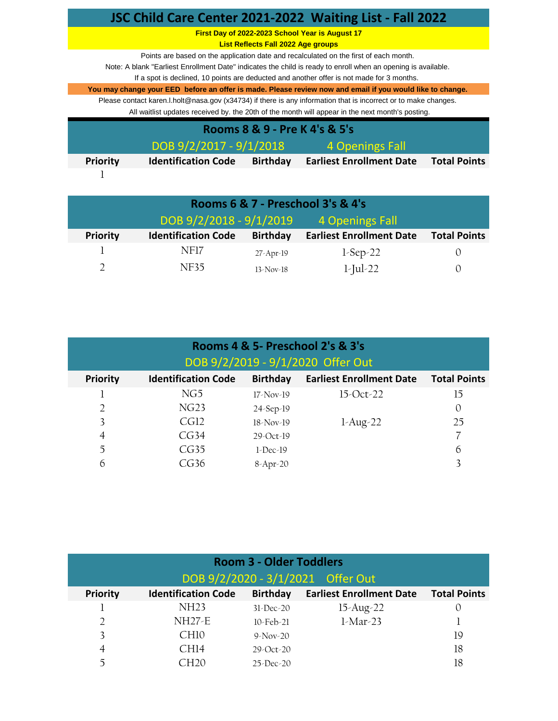|                                            |                                                 |                                           | JSC Child Care Center 2021-2022 Waiting List - Fall 2022                                                         |                     |  |  |
|--------------------------------------------|-------------------------------------------------|-------------------------------------------|------------------------------------------------------------------------------------------------------------------|---------------------|--|--|
|                                            | First Day of 2022-2023 School Year is August 17 |                                           |                                                                                                                  |                     |  |  |
|                                            |                                                 | <b>List Reflects Fall 2022 Age groups</b> |                                                                                                                  |                     |  |  |
|                                            |                                                 |                                           | Points are based on the application date and recalculated on the first of each month.                            |                     |  |  |
|                                            |                                                 |                                           | Note: A blank "Earliest Enrollment Date" indicates the child is ready to enroll when an opening is available.    |                     |  |  |
|                                            |                                                 |                                           | If a spot is declined, 10 points are deducted and another offer is not made for 3 months.                        |                     |  |  |
|                                            |                                                 |                                           | You may change your EED before an offer is made. Please review now and email if you would like to change.        |                     |  |  |
|                                            |                                                 |                                           | Please contact karen. I holt@nasa.gov (x34734) if there is any information that is incorrect or to make changes. |                     |  |  |
|                                            |                                                 |                                           | All waitlist updates received by. the 20th of the month will appear in the next month's posting.                 |                     |  |  |
| Rooms 8 & 9 - Pre K 4's & 5's              |                                                 |                                           |                                                                                                                  |                     |  |  |
| DOB 9/2/2017 - 9/1/2018<br>4 Openings Fall |                                                 |                                           |                                                                                                                  |                     |  |  |
| <b>Priority</b>                            | <b>Identification Code</b>                      | <b>Birthday</b>                           | <b>Earliest Enrollment Date</b>                                                                                  | <b>Total Points</b> |  |  |
|                                            |                                                 |                                           |                                                                                                                  |                     |  |  |

| Rooms 6 & 7 - Preschool 3's & 4's |                            |                 |                                 |                     |  |
|-----------------------------------|----------------------------|-----------------|---------------------------------|---------------------|--|
|                                   | DOB 9/2/2018 - 9/1/2019    |                 | 4 Openings Fall                 |                     |  |
| <b>Priority</b>                   | <b>Identification Code</b> | <b>Birthday</b> | <b>Earliest Enrollment Date</b> | <b>Total Points</b> |  |
|                                   | NF17                       | $27$ -Apr-19    | $1$ -Sep-22                     | $\left( \right)$    |  |
|                                   | NF35                       | $13-Nov-18$     | $1$ -Jul-22                     | $\left( \right)$    |  |

| Rooms 4 & 5- Preschool 2's & 3's |                            |                 |                                   |                     |  |
|----------------------------------|----------------------------|-----------------|-----------------------------------|---------------------|--|
|                                  |                            |                 | DOB 9/2/2019 - 9/1/2020 Offer Out |                     |  |
| <b>Priority</b>                  | <b>Identification Code</b> | <b>Birthday</b> | <b>Earliest Enrollment Date</b>   | <b>Total Points</b> |  |
|                                  | NG5                        | $17$ -Nov-19    | $15-Oct-22$                       | 15                  |  |
| $\overline{2}$                   | NG23                       | $24-Sep-19$     |                                   | 0                   |  |
| 3                                | CGI2                       | $18-Nov-19$     | $1-Aug-22$                        | 25                  |  |
| $\overline{4}$                   | CG34                       | $29 - Oct-19$   |                                   |                     |  |
| 5                                | CG35                       | $1$ -Dec-19     |                                   | 6                   |  |
| 6                                | CG36                       | 8-Apr-20        |                                   |                     |  |

| <b>Room 3 - Older Toddlers</b> |                                   |                 |                                 |                     |  |  |
|--------------------------------|-----------------------------------|-----------------|---------------------------------|---------------------|--|--|
|                                | DOB 9/2/2020 - 3/1/2021 Offer Out |                 |                                 |                     |  |  |
| <b>Priority</b>                | <b>Identification Code</b>        | <b>Birthday</b> | <b>Earliest Enrollment Date</b> | <b>Total Points</b> |  |  |
|                                | NH <sub>23</sub>                  | $31$ -Dec-20    | $15$ -Aug-22                    |                     |  |  |
| 2                              | $NH27-E$                          | $10$ -Feb-21    | $1$ -Mar-23                     |                     |  |  |
|                                | CH <sub>10</sub>                  | $9-Nov-20$      |                                 | 19                  |  |  |
| $\overline{4}$                 | CH14                              | $29 - Oct - 20$ |                                 | 18                  |  |  |
| $\tilde{\phantom{a}}$          |                                   | $25$ -Dec-20    |                                 | 18                  |  |  |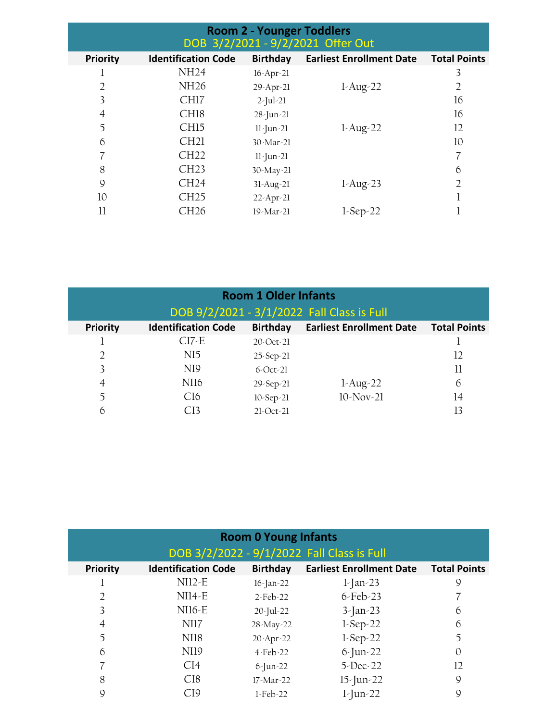| <b>Room 2 - Younger Toddlers</b><br>DOB 3/2/2021 - 9/2/2021 Offer Out |                            |                 |                                 |                     |  |
|-----------------------------------------------------------------------|----------------------------|-----------------|---------------------------------|---------------------|--|
| <b>Priority</b>                                                       | <b>Identification Code</b> | Birthday        | <b>Earliest Enrollment Date</b> | <b>Total Points</b> |  |
|                                                                       | <b>NH24</b>                | $16$ -Apr-21    |                                 | 3                   |  |
| 2                                                                     | <b>NH26</b>                | 29-Apr-21       | $1-Aug-22$                      | $\overline{2}$      |  |
| 3                                                                     | CH17                       | $2$ -Jul-21     |                                 | 16                  |  |
| 4                                                                     | CH <sub>18</sub>           | 28-Jun-21       |                                 | 16                  |  |
| 5                                                                     | CH <sub>15</sub>           | $11$ -Jun-21    | $1-Aug-22$                      | 12                  |  |
| 6                                                                     | CH21                       | $30$ -Mar-21    |                                 | 10                  |  |
|                                                                       | CH22                       | $11$ -Jun-21    |                                 | 7                   |  |
| 8                                                                     | CH23                       | 30-May-21       |                                 | 6                   |  |
| 9                                                                     | CH24                       | $31$ -Aug- $21$ | $1-Aug-23$                      | $\overline{2}$      |  |
| 10                                                                    | CH25                       | $22$ -Apr-21    |                                 |                     |  |
| $_{\rm ll}$                                                           | CH26                       | 19-Mar-21       | $1$ -Sep-22                     |                     |  |

| <b>Room 1 Older Infants</b> |                            |                 |                                            |                     |  |
|-----------------------------|----------------------------|-----------------|--------------------------------------------|---------------------|--|
|                             |                            |                 | DOB 9/2/2021 - 3/1/2022 Fall Class is Full |                     |  |
| <b>Priority</b>             | <b>Identification Code</b> | <b>Birthday</b> | <b>Earliest Enrollment Date</b>            | <b>Total Points</b> |  |
|                             | $CI7-E$                    | $20 - Oct - 21$ |                                            |                     |  |
| 2                           | NI5                        | $25 - Sep - 21$ |                                            | 12                  |  |
| 3                           | NI9                        | $6$ -Oct-21     |                                            | 11                  |  |
| 4                           | NI <sub>16</sub>           | $29 - Sep - 21$ | $1-Aug-22$                                 | 6                   |  |
| 5                           | CI6                        | $10-Sep-21$     | $10-Nov-21$                                | 14                  |  |
| 6                           | CI3                        | $21-Oct-21$     |                                            | 13                  |  |

| <b>Room 0 Young Infants</b><br>DOB 3/2/2022 - 9/1/2022 Fall Class is Full |                            |                 |                                 |                     |  |
|---------------------------------------------------------------------------|----------------------------|-----------------|---------------------------------|---------------------|--|
| <b>Priority</b>                                                           | <b>Identification Code</b> | <b>Birthday</b> | <b>Earliest Enrollment Date</b> | <b>Total Points</b> |  |
|                                                                           | $NI12-E$                   | $16$ -Jan-22    | $1$ -Jan-23                     | 9                   |  |
| 2                                                                         | $NI14-E$                   | $2$ -Feb-22     | $6$ -Feb-23                     |                     |  |
| 3                                                                         | $NI16-E$                   | $20$ -Jul-22    | $3$ -Jan-23                     | 6                   |  |
| $\overline{4}$                                                            | NI17                       | 28-May-22       | $1$ -Sep-22                     | 6                   |  |
| 5                                                                         | NI18                       | $20$ -Apr-22    | $1$ -Sep-22                     | 5                   |  |
| 6                                                                         | NI <sub>19</sub>           | $4$ -Feb-22     | $6$ -Jun-22                     | $\Omega$            |  |
|                                                                           | CI4                        | $6$ -Jun-22     | $5$ -Dec-22                     | 12                  |  |
| 8                                                                         | CI8                        | $17$ -Mar-22    | $15$ -Jun-22                    | 9                   |  |
| 9                                                                         | CI9                        | $1$ -Feb-22     | $1$ -Jun-22                     | 9                   |  |